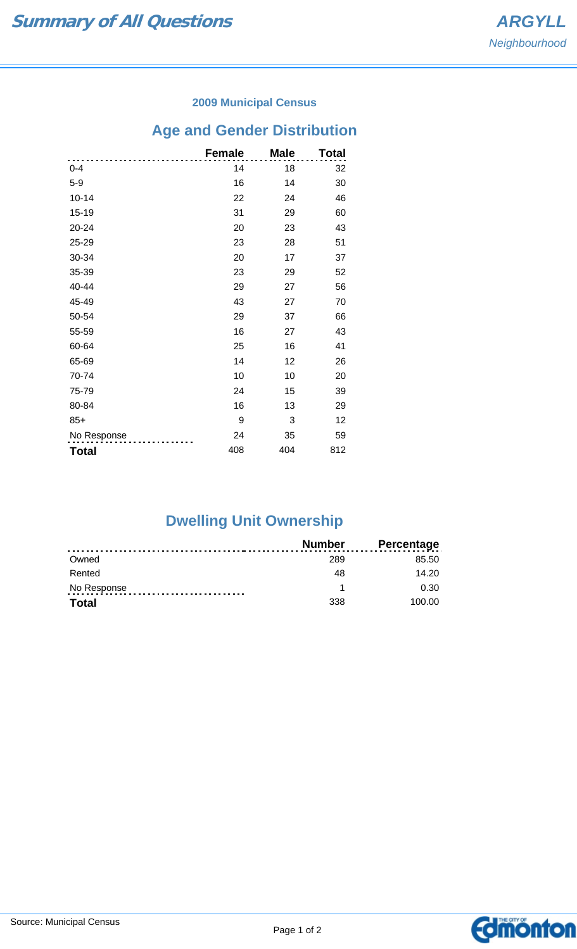### **2009 Municipal Census**

## **Age and Gender Distribution**

|              | <b>Female</b> | <b>Male</b> | <b>Total</b> |
|--------------|---------------|-------------|--------------|
| $0 - 4$      | 14            | 18          | 32           |
| $5-9$        | 16            | 14          | 30           |
| $10 - 14$    | 22            | 24          | 46           |
| $15 - 19$    | 31            | 29          | 60           |
| 20-24        | 20            | 23          | 43           |
| 25-29        | 23            | 28          | 51           |
| 30-34        | 20            | 17          | 37           |
| 35-39        | 23            | 29          | 52           |
| 40-44        | 29            | 27          | 56           |
| 45-49        | 43            | 27          | 70           |
| 50-54        | 29            | 37          | 66           |
| 55-59        | 16            | 27          | 43           |
| 60-64        | 25            | 16          | 41           |
| 65-69        | 14            | 12          | 26           |
| 70-74        | 10            | 10          | 20           |
| 75-79        | 24            | 15          | 39           |
| 80-84        | 16            | 13          | 29           |
| $85+$        | 9             | 3           | 12           |
| No Response  | 24            | 35          | 59           |
| <b>Total</b> | 408           | 404         | 812          |

# **Dwelling Unit Ownership**

|              | <b>Number</b> | <b>Percentage</b> |
|--------------|---------------|-------------------|
| Owned        | 289           | 85.50             |
| Rented       | 48            | 14.20             |
| No Response  |               | 0.30              |
| <b>Total</b> | 338           | 100.00            |